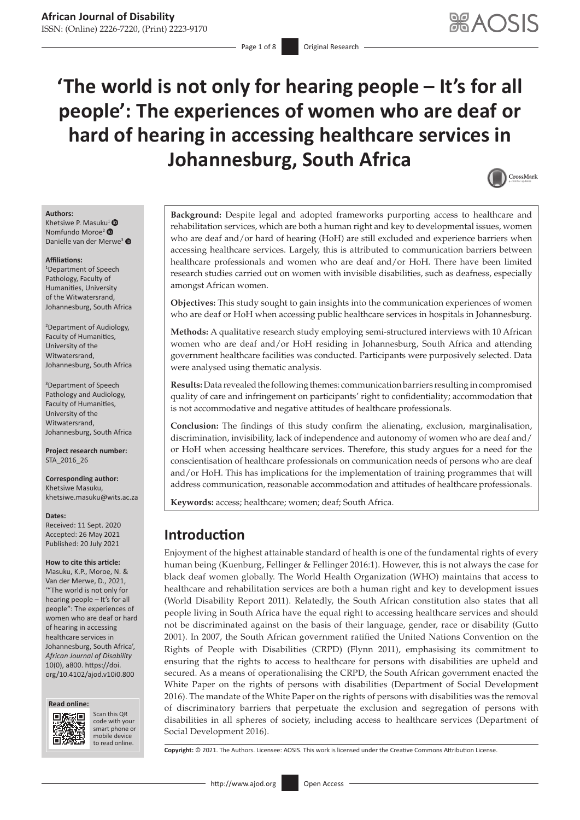Page 1 of 8 **Original Research** 

# **'The world is not only for hearing people – It's for all people': The experiences of women who are deaf or hard of hearing in accessing healthcare services in Johannesburg, South Africa**



#### **Authors:**

Khetsiwe P. Mas[u](https://orcid.org/0000-0001-7186-5632)ku<sup>[1](https://orcid.org/0000-0003-3413-689X)</sup> <sup>®</sup> Nomfundo Moroe<sup>2</sup> <sup>®</sup> Danielle van der Merwe<sup>3</sup>

#### **Affiliations:**

1 Department of Speech Pathology, Faculty of Humanities, University of the Witwatersrand, Johannesburg, South Africa

2 Department of Audiology, Faculty of Humanities, University of the Witwatersrand, Johannesburg, South Africa

3 Department of Speech Pathology and Audiology, Faculty of Humanities, University of the Witwatersrand, Johannesburg, South Africa

**Project research number:**  STA\_2016\_26

**Corresponding author:** Khetsiwe Masuku, [khetsiwe.masuku@wits.ac.za](mailto:khetsiwe.masuku@wits.ac.za)

#### **Dates:**

Received: 11 Sept. 2020 Accepted: 26 May 2021 Published: 20 July 2021

#### **How to cite this article:**

Masuku, K.P., Moroe, N. & Van der Merwe, D., 2021, '"The world is not only for hearing people – It's for all people": The experiences of women who are deaf or hard of hearing in accessing healthcare services in Johannesburg, South Africa', *African Journal of Disability* 10(0), a800. [https://doi.](https://doi.org/10.4102/ajod.v10i0.800) [org/10.4102/ajod.v10i0.800](https://doi.org/10.4102/ajod.v10i0.800)





Scan this QR code with your Scan this QR<br>code with your<br>smart phone or<br>mobile device mobile device to read online. to read online.

**Background:** Despite legal and adopted frameworks purporting access to healthcare and rehabilitation services, which are both a human right and key to developmental issues, women who are deaf and/or hard of hearing (HoH) are still excluded and experience barriers when accessing healthcare services. Largely, this is attributed to communication barriers between healthcare professionals and women who are deaf and/or HoH. There have been limited research studies carried out on women with invisible disabilities, such as deafness, especially amongst African women.

**Objectives:** This study sought to gain insights into the communication experiences of women who are deaf or HoH when accessing public healthcare services in hospitals in Johannesburg.

**Methods:** A qualitative research study employing semi-structured interviews with 10 African women who are deaf and/or HoH residing in Johannesburg, South Africa and attending government healthcare facilities was conducted. Participants were purposively selected. Data were analysed using thematic analysis.

**Results:** Data revealed the following themes: communication barriers resulting in compromised quality of care and infringement on participants' right to confidentiality; accommodation that is not accommodative and negative attitudes of healthcare professionals.

**Conclusion:** The findings of this study confirm the alienating, exclusion, marginalisation, discrimination, invisibility, lack of independence and autonomy of women who are deaf and/ or HoH when accessing healthcare services. Therefore, this study argues for a need for the conscientisation of healthcare professionals on communication needs of persons who are deaf and/or HoH. This has implications for the implementation of training programmes that will address communication, reasonable accommodation and attitudes of healthcare professionals.

**Keywords:** access; healthcare; women; deaf; South Africa.

# **Introduction**

Enjoyment of the highest attainable standard of health is one of the fundamental rights of every human being (Kuenburg, Fellinger & Fellinger 2016:1). However, this is not always the case for black deaf women globally. The World Health Organization (WHO) maintains that access to healthcare and rehabilitation services are both a human right and key to development issues (World Disability Report 2011). Relatedly, the South African constitution also states that all people living in South Africa have the equal right to accessing healthcare services and should not be discriminated against on the basis of their language, gender, race or disability (Gutto 2001). In 2007, the South African government ratified the United Nations Convention on the Rights of People with Disabilities (CRPD) (Flynn 2011), emphasising its commitment to ensuring that the rights to access to healthcare for persons with disabilities are upheld and secured. As a means of operationalising the CRPD, the South African government enacted the White Paper on the rights of persons with disabilities (Department of Social Development 2016). The mandate of the White Paper on the rights of persons with disabilities was the removal of discriminatory barriers that perpetuate the exclusion and segregation of persons with disabilities in all spheres of society, including access to healthcare services (Department of Social Development 2016).

**Copyright:** © 2021. The Authors. Licensee: AOSIS. This work is licensed under the Creative Commons Attribution License.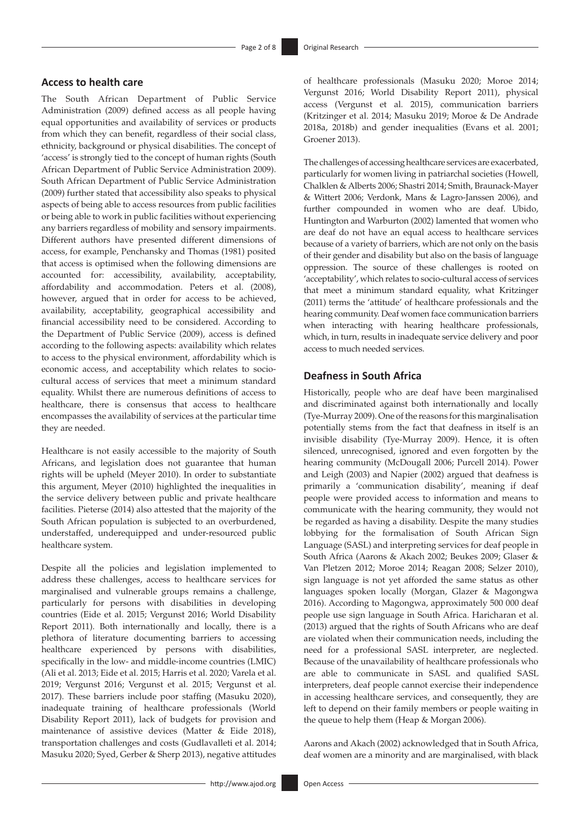## **Access to health care**

The South African Department of Public Service Administration (2009) defined access as all people having equal opportunities and availability of services or products from which they can benefit, regardless of their social class, ethnicity, background or physical disabilities. The concept of 'access' is strongly tied to the concept of human rights (South African Department of Public Service Administration 2009). South African Department of Public Service Administration (2009) further stated that accessibility also speaks to physical aspects of being able to access resources from public facilities or being able to work in public facilities without experiencing any barriers regardless of mobility and sensory impairments. Different authors have presented different dimensions of access, for example, Penchansky and Thomas (1981) posited that access is optimised when the following dimensions are accounted for: accessibility, availability, acceptability, affordability and accommodation. Peters et al. (2008), however, argued that in order for access to be achieved, availability, acceptability, geographical accessibility and financial accessibility need to be considered. According to the Department of Public Service (2009), access is defined according to the following aspects: availability which relates to access to the physical environment, affordability which is economic access, and acceptability which relates to sociocultural access of services that meet a minimum standard equality. Whilst there are numerous definitions of access to healthcare, there is consensus that access to healthcare encompasses the availability of services at the particular time they are needed.

Healthcare is not easily accessible to the majority of South Africans, and legislation does not guarantee that human rights will be upheld (Meyer 2010). In order to substantiate this argument, Meyer (2010) highlighted the inequalities in the service delivery between public and private healthcare facilities. Pieterse (2014) also attested that the majority of the South African population is subjected to an overburdened, understaffed, underequipped and under-resourced public healthcare system.

Despite all the policies and legislation implemented to address these challenges, access to healthcare services for marginalised and vulnerable groups remains a challenge, particularly for persons with disabilities in developing countries (Eide et al. 2015; Vergunst 2016; World Disability Report 2011). Both internationally and locally, there is a plethora of literature documenting barriers to accessing healthcare experienced by persons with disabilities, specifically in the low- and middle-income countries (LMIC) (Ali et al. 2013; Eide et al. 2015; Harris et al. 2020; Varela et al. 2019; Vergunst 2016; Vergunst et al. 2015; Vergunst et al. 2017). These barriers include poor staffing (Masuku 2020), inadequate training of healthcare professionals (World Disability Report 2011), lack of budgets for provision and maintenance of assistive devices (Matter & Eide 2018), transportation challenges and costs (Gudlavalleti et al. 2014; Masuku 2020; Syed, Gerber & Sherp 2013), negative attitudes of healthcare professionals (Masuku 2020; Moroe 2014; Vergunst 2016; World Disability Report 2011), physical access (Vergunst et al. 2015), communication barriers (Kritzinger et al. 2014; Masuku 2019; Moroe & De Andrade 2018a, 2018b) and gender inequalities (Evans et al. 2001; Groener 2013).

The challenges of accessing healthcare services are exacerbated, particularly for women living in patriarchal societies (Howell, Chalklen & Alberts 2006; Shastri 2014; Smith, Braunack-Mayer & Wittert 2006; Verdonk, Mans & Lagro-Janssen 2006), and further compounded in women who are deaf. Ubido, Huntington and Warburton (2002) lamented that women who are deaf do not have an equal access to healthcare services because of a variety of barriers, which are not only on the basis of their gender and disability but also on the basis of language oppression. The source of these challenges is rooted on 'acceptability', which relates to socio-cultural access of services that meet a minimum standard equality, what Kritzinger (2011) terms the 'attitude' of healthcare professionals and the hearing community. Deaf women face communication barriers when interacting with hearing healthcare professionals, which, in turn, results in inadequate service delivery and poor access to much needed services.

## **Deafness in South Africa**

Historically, people who are deaf have been marginalised and discriminated against both internationally and locally (Tye-Murray 2009). One of the reasons for this marginalisation potentially stems from the fact that deafness in itself is an invisible disability (Tye-Murray 2009). Hence, it is often silenced, unrecognised, ignored and even forgotten by the hearing community (McDougall 2006; Purcell 2014). Power and Leigh (2003) and Napier (2002) argued that deafness is primarily a 'communication disability', meaning if deaf people were provided access to information and means to communicate with the hearing community, they would not be regarded as having a disability. Despite the many studies lobbying for the formalisation of South African Sign Language (SASL) and interpreting services for deaf people in South Africa (Aarons & Akach 2002; Beukes 2009; Glaser & Van Pletzen 2012; Moroe 2014; Reagan 2008; Selzer 2010), sign language is not yet afforded the same status as other languages spoken locally (Morgan, Glazer & Magongwa 2016). According to Magongwa, approximately 500 000 deaf people use sign language in South Africa. Haricharan et al. (2013) argued that the rights of South Africans who are deaf are violated when their communication needs, including the need for a professional SASL interpreter, are neglected. Because of the unavailability of healthcare professionals who are able to communicate in SASL and qualified SASL interpreters, deaf people cannot exercise their independence in accessing healthcare services, and consequently, they are left to depend on their family members or people waiting in the queue to help them (Heap & Morgan 2006).

Aarons and Akach (2002) acknowledged that in South Africa, deaf women are a minority and are marginalised, with black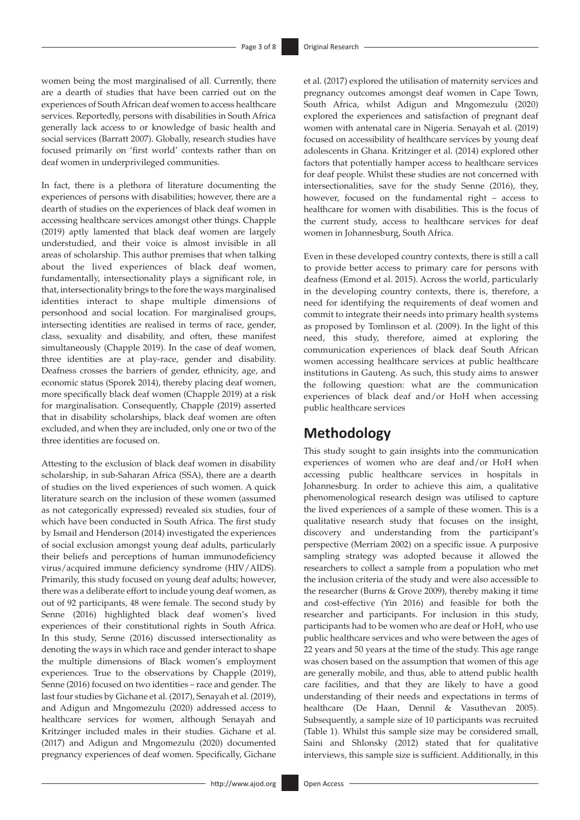women being the most marginalised of all. Currently, there are a dearth of studies that have been carried out on the experiences of South African deaf women to access healthcare services. Reportedly, persons with disabilities in South Africa generally lack access to or knowledge of basic health and social services (Barratt 2007). Globally, research studies have focused primarily on 'first world' contexts rather than on deaf women in underprivileged communities.

In fact, there is a plethora of literature documenting the experiences of persons with disabilities; however, there are a dearth of studies on the experiences of black deaf women in accessing healthcare services amongst other things. Chapple (2019) aptly lamented that black deaf women are largely understudied, and their voice is almost invisible in all areas of scholarship. This author premises that when talking about the lived experiences of black deaf women, fundamentally, intersectionality plays a significant role, in that, intersectionality brings to the fore the ways marginalised identities interact to shape multiple dimensions of personhood and social location. For marginalised groups, intersecting identities are realised in terms of race, gender, class, sexuality and disability, and often, these manifest simultaneously (Chapple 2019). In the case of deaf women, three identities are at play-race, gender and disability. Deafness crosses the barriers of gender, ethnicity, age, and economic status (Sporek 2014), thereby placing deaf women, more specifically black deaf women (Chapple 2019) at a risk for marginalisation. Consequently, Chapple (2019) asserted that in disability scholarships, black deaf women are often excluded, and when they are included, only one or two of the three identities are focused on.

Attesting to the exclusion of black deaf women in disability scholarship, in sub-Saharan Africa (SSA), there are a dearth of studies on the lived experiences of such women. A quick literature search on the inclusion of these women (assumed as not categorically expressed) revealed six studies, four of which have been conducted in South Africa. The first study by Ismail and Henderson (2014) investigated the experiences of social exclusion amongst young deaf adults, particularly their beliefs and perceptions of human immunodeficiency virus/acquired immune deficiency syndrome (HIV/AIDS). Primarily, this study focused on young deaf adults; however, there was a deliberate effort to include young deaf women, as out of 92 participants, 48 were female. The second study by Senne (2016) highlighted black deaf women's lived experiences of their constitutional rights in South Africa. In this study, Senne (2016) discussed intersectionality as denoting the ways in which race and gender interact to shape the multiple dimensions of Black women's employment experiences. True to the observations by Chapple (2019), Senne (2016) focused on two identities – race and gender. The last four studies by Gichane et al. (2017), Senayah et al. (2019), and Adigun and Mngomezulu (2020) addressed access to healthcare services for women, although Senayah and Kritzinger included males in their studies. Gichane et al. (2017) and Adigun and Mngomezulu (2020) documented pregnancy experiences of deaf women. Specifically, Gichane

et al. (2017) explored the utilisation of maternity services and pregnancy outcomes amongst deaf women in Cape Town, South Africa, whilst Adigun and Mngomezulu (2020) explored the experiences and satisfaction of pregnant deaf women with antenatal care in Nigeria. Senayah et al. (2019) focused on accessibility of healthcare services by young deaf adolescents in Ghana. Kritzinger et al. (2014) explored other factors that potentially hamper access to healthcare services for deaf people. Whilst these studies are not concerned with intersectionalities, save for the study Senne (2016), they, however, focused on the fundamental right – access to healthcare for women with disabilities. This is the focus of the current study, access to healthcare services for deaf women in Johannesburg, South Africa.

Even in these developed country contexts, there is still a call to provide better access to primary care for persons with deafness (Emond et al. 2015). Across the world, particularly in the developing country contexts, there is, therefore, a need for identifying the requirements of deaf women and commit to integrate their needs into primary health systems as proposed by Tomlinson et al. (2009). In the light of this need, this study, therefore, aimed at exploring the communication experiences of black deaf South African women accessing healthcare services at public healthcare institutions in Gauteng. As such, this study aims to answer the following question: what are the communication experiences of black deaf and/or HoH when accessing public healthcare services

# **Methodology**

This study sought to gain insights into the communication experiences of women who are deaf and/or HoH when accessing public healthcare services in hospitals in Johannesburg. In order to achieve this aim, a qualitative phenomenological research design was utilised to capture the lived experiences of a sample of these women. This is a qualitative research study that focuses on the insight, discovery and understanding from the participant's perspective (Merriam 2002) on a specific issue. A purposive sampling strategy was adopted because it allowed the researchers to collect a sample from a population who met the inclusion criteria of the study and were also accessible to the researcher (Burns & Grove 2009), thereby making it time and cost-effective (Yin 2016) and feasible for both the researcher and participants. For inclusion in this study, participants had to be women who are deaf or HoH, who use public healthcare services and who were between the ages of 22 years and 50 years at the time of the study. This age range was chosen based on the assumption that women of this age are generally mobile, and thus, able to attend public health care facilities, and that they are likely to have a good understanding of their needs and expectations in terms of healthcare (De Haan, Dennil & Vasuthevan 2005). Subsequently, a sample size of 10 participants was recruited (Table 1). Whilst this sample size may be considered small, Saini and Shlonsky (2012) stated that for qualitative interviews, this sample size is sufficient. Additionally, in this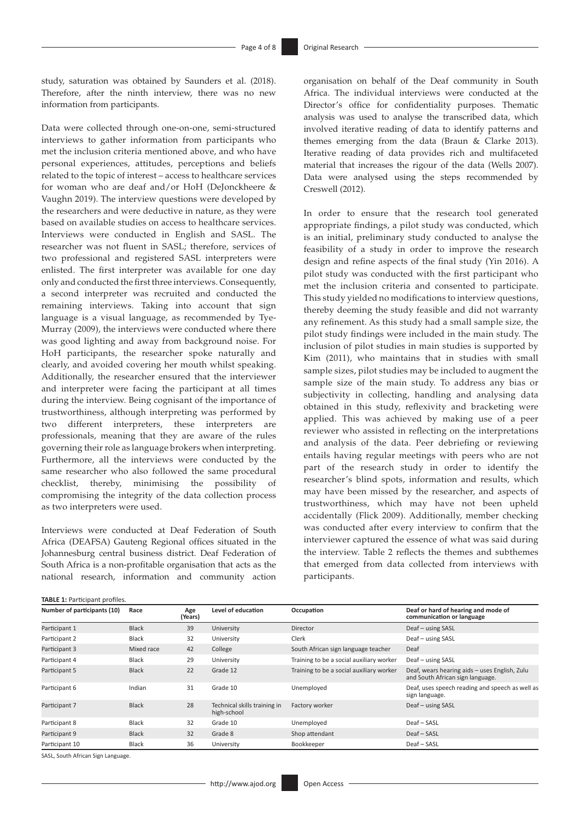study, saturation was obtained by Saunders et al. (2018). Therefore, after the ninth interview, there was no new information from participants.

Data were collected through one-on-one, semi-structured interviews to gather information from participants who met the inclusion criteria mentioned above, and who have personal experiences, attitudes, perceptions and beliefs related to the topic of interest – access to healthcare services for woman who are deaf and/or HoH (DeJonckheere & Vaughn 2019). The interview questions were developed by the researchers and were deductive in nature, as they were based on available studies on access to healthcare services. Interviews were conducted in English and SASL. The researcher was not fluent in SASL; therefore, services of two professional and registered SASL interpreters were enlisted. The first interpreter was available for one day only and conducted the first three interviews. Consequently, a second interpreter was recruited and conducted the remaining interviews. Taking into account that sign language is a visual language, as recommended by Tye-Murray (2009), the interviews were conducted where there was good lighting and away from background noise. For HoH participants, the researcher spoke naturally and clearly, and avoided covering her mouth whilst speaking. Additionally, the researcher ensured that the interviewer and interpreter were facing the participant at all times during the interview. Being cognisant of the importance of trustworthiness, although interpreting was performed by two different interpreters, these interpreters are professionals, meaning that they are aware of the rules governing their role as language brokers when interpreting. Furthermore, all the interviews were conducted by the same researcher who also followed the same procedural checklist, thereby, minimising the possibility of compromising the integrity of the data collection process as two interpreters were used.

Interviews were conducted at Deaf Federation of South Africa (DEAFSA) Gauteng Regional offices situated in the Johannesburg central business district. Deaf Federation of South Africa is a non-profitable organisation that acts as the national research, information and community action organisation on behalf of the Deaf community in South Africa. The individual interviews were conducted at the Director's office for confidentiality purposes. Thematic analysis was used to analyse the transcribed data, which involved iterative reading of data to identify patterns and themes emerging from the data (Braun & Clarke 2013). Iterative reading of data provides rich and multifaceted material that increases the rigour of the data (Wells 2007). Data were analysed using the steps recommended by Creswell (2012).

In order to ensure that the research tool generated appropriate findings, a pilot study was conducted, which is an initial, preliminary study conducted to analyse the feasibility of a study in order to improve the research design and refine aspects of the final study (Yin 2016). A pilot study was conducted with the first participant who met the inclusion criteria and consented to participate. This study yielded no modifications to interview questions, thereby deeming the study feasible and did not warranty any refinement. As this study had a small sample size, the pilot study findings were included in the main study. The inclusion of pilot studies in main studies is supported by Kim (2011), who maintains that in studies with small sample sizes, pilot studies may be included to augment the sample size of the main study. To address any bias or subjectivity in collecting, handling and analysing data obtained in this study, reflexivity and bracketing were applied. This was achieved by making use of a peer reviewer who assisted in reflecting on the interpretations and analysis of the data. Peer debriefing or reviewing entails having regular meetings with peers who are not part of the research study in order to identify the researcher's blind spots, information and results, which may have been missed by the researcher, and aspects of trustworthiness, which may have not been upheld accidentally (Flick 2009). Additionally, member checking was conducted after every interview to confirm that the interviewer captured the essence of what was said during the interview. Table 2 reflects the themes and subthemes that emerged from data collected from interviews with participants.

| Number of participants (10) | Race         | Age<br>(Years) | Level of education                          | Occupation                               | Deaf or hard of hearing and mode of<br>communication or language                  |
|-----------------------------|--------------|----------------|---------------------------------------------|------------------------------------------|-----------------------------------------------------------------------------------|
| Participant 1               | <b>Black</b> | 39             | University                                  | Director                                 | Deaf - using SASL                                                                 |
| Participant 2               | <b>Black</b> | 32             | University                                  | Clerk                                    | Deaf - using SASL                                                                 |
| Participant 3               | Mixed race   | 42             | College                                     | South African sign language teacher      | Deaf                                                                              |
| Participant 4               | <b>Black</b> | 29             | University                                  | Training to be a social auxiliary worker | Deaf - using SASL                                                                 |
| Participant 5               | <b>Black</b> | 22             | Grade 12                                    | Training to be a social auxiliary worker | Deaf, wears hearing aids - uses English, Zulu<br>and South African sign language. |
| Participant 6               | Indian       | 31             | Grade 10                                    | Unemployed                               | Deaf, uses speech reading and speech as well as<br>sign language.                 |
| Participant 7               | <b>Black</b> | 28             | Technical skills training in<br>high-school | Factory worker                           | Deaf - using SASL                                                                 |
| Participant 8               | <b>Black</b> | 32             | Grade 10                                    | Unemployed                               | Deaf - SASL                                                                       |
| Participant 9               | <b>Black</b> | 32             | Grade 8                                     | Shop attendant                           | Deaf - SASL                                                                       |
| Participant 10              | <b>Black</b> | 36             | University                                  | Bookkeeper                               | Deaf - SASL                                                                       |

SASL, South African Sign Language.

**TABLE 1: Participant profiles**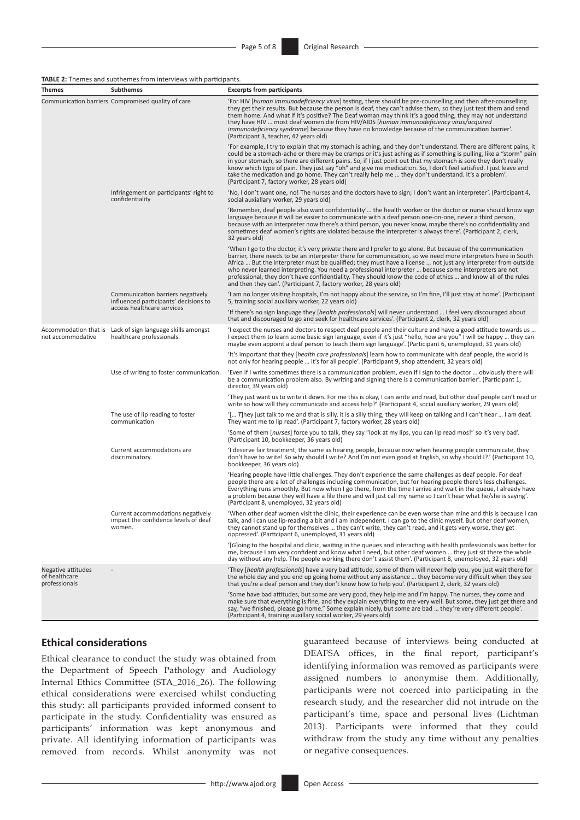#### **TABLE 2:** Themes and subthemes from interviews with participants.

| Themes                                               | <b>Subthemes</b>                                                                                         | <b>Excerpts from participants</b>                                                                                                                                                                                                                                                                                                                                                                                                                                                                                                                                                                                                               |  |  |
|------------------------------------------------------|----------------------------------------------------------------------------------------------------------|-------------------------------------------------------------------------------------------------------------------------------------------------------------------------------------------------------------------------------------------------------------------------------------------------------------------------------------------------------------------------------------------------------------------------------------------------------------------------------------------------------------------------------------------------------------------------------------------------------------------------------------------------|--|--|
|                                                      | Communication barriers Compromised quality of care                                                       | For HIV [human immunodeficiency virus] testing, there should be pre-counselling and then after-counselling<br>they get their results. But because the person is deaf, they can't advise them, so they just test them and send<br>them home. And what if it's positive? The Deaf woman may think it's a good thing, they may not understand<br>they have HIV  most deaf women die from HIV/AIDS [human immunodeficiency virus/acquired<br>immunodeficiency syndrome] because they have no knowledge because of the communication barrier'.<br>(Participant 3, teacher, 42 years old)                                                             |  |  |
|                                                      |                                                                                                          | 'For example, I try to explain that my stomach is aching, and they don't understand. There are different pains, it<br>could be a stomach-ache or there may be cramps or it's just aching as if something is pulling, like a "storm" pain<br>in your stomach, so there are different pains. So, if I just point out that my stomach is sore they don't really<br>know which type of pain. They just say "oh" and give me medication. So, I don't feel satisfied. I just leave and<br>take the medication and go home. They can't really help me  they don't understand. It's a problem'.<br>(Participant 7, factory worker, 28 years old)        |  |  |
|                                                      | Infringement on participants' right to<br>confidentiality                                                | 'No, I don't want one, no! The nurses and the doctors have to sign; I don't want an interpreter'. (Participant 4,<br>social auxiallary worker, 29 years old)                                                                                                                                                                                                                                                                                                                                                                                                                                                                                    |  |  |
|                                                      |                                                                                                          | 'Remember, deaf people also want confidentiality' the health worker or the doctor or nurse should know sign<br>language because it will be easier to communicate with a deaf person one-on-one, never a third person,<br>because with an interpreter now there's a third person, you never know, maybe there's no confidentiality and<br>sometimes deaf women's rights are violated because the interpreter is always there'. (Participant 2, clerk,<br>32 years old)                                                                                                                                                                           |  |  |
|                                                      |                                                                                                          | 'When I go to the doctor, it's very private there and I prefer to go alone. But because of the communication<br>barrier, there needs to be an interpreter there for communication, so we need more interpreters here in South<br>Africa  But the interpreter must be qualified; they must have a license  not just any interpreter from outside<br>who never learned interpreting. You need a professional interpreter  because some interpreters are not<br>professional, they don't have confidentiality. They should know the code of ethics  and know all of the rules<br>and then they can'. (Participant 7, factory worker, 28 years old) |  |  |
|                                                      | Communication barriers negatively<br>influenced participants' decisions to<br>access healthcare services | 'I am no longer visiting hospitals, I'm not happy about the service, so I'm fine, I'll just stay at home'. (Participant<br>5, training social auxiliary worker, 22 years old)                                                                                                                                                                                                                                                                                                                                                                                                                                                                   |  |  |
|                                                      |                                                                                                          | 'If there's no sign language they [health professionals] will never understand  I feel very discouraged about<br>that and discouraged to go and seek for healthcare services'. (Participant 2, clerk, 32 years old)                                                                                                                                                                                                                                                                                                                                                                                                                             |  |  |
| not accommodative                                    | Accommodation that is Lack of sign language skills amongst<br>healthcare professionals.                  | ' expect the nurses and doctors to respect deaf people and their culture and have a good attitude towards us<br>I expect them to learn some basic sign language, even if it's just "hello, how are you" I will be happy  they can<br>maybe even appoint a deaf person to teach them sign language'. (Participant 6, unemployed, 31 years old)                                                                                                                                                                                                                                                                                                   |  |  |
|                                                      |                                                                                                          | 'It's important that they [health care professionals] learn how to communicate with deaf people, the world is<br>not only for hearing people  it's for all people'. (Participant 9, shop attendent, 32 years old)                                                                                                                                                                                                                                                                                                                                                                                                                               |  |  |
|                                                      | Use of writing to foster communication.                                                                  | 'Even if I write sometimes there is a communication problem, even if I sign to the doctor  obviously there will<br>be a communication problem also. By writing and signing there is a communication barrier'. (Participant 1,<br>director, 39 years old)                                                                                                                                                                                                                                                                                                                                                                                        |  |  |
|                                                      |                                                                                                          | 'They just want us to write it down. For me this is okay, I can write and read, but other deaf people can't read or<br>write so how will they communicate and access help?' (Participant 4, social auxiliary worker, 29 years old)                                                                                                                                                                                                                                                                                                                                                                                                              |  |  |
|                                                      | The use of lip reading to foster<br>communication                                                        | '[ T]hey just talk to me and that is silly, it is a silly thing, they will keep on talking and I can't hear  I am deaf.<br>They want me to lip read'. (Participant 7, factory worker, 28 years old)                                                                                                                                                                                                                                                                                                                                                                                                                                             |  |  |
|                                                      |                                                                                                          | 'Some of them [nurses] force you to talk, they say "look at my lips, you can lip read mos!" so it's very bad'.<br>(Participant 10, bookkeeper, 36 years old)                                                                                                                                                                                                                                                                                                                                                                                                                                                                                    |  |  |
|                                                      | Current accommodations are<br>discriminatory.                                                            | I deserve fair treatment, the same as hearing people, because now when hearing people communicate, they<br>don't have to write! So why should I write? And I'm not even good at English, so why should I?.' (Participant 10,<br>bookkeeper, 36 years old)                                                                                                                                                                                                                                                                                                                                                                                       |  |  |
|                                                      |                                                                                                          | 'Hearing people have little challenges. They don't experience the same challenges as deaf people. For deaf<br>people there are a lot of challenges including communication, but for hearing people there's less challenges.<br>Everything runs smoothly. But now when I go there, from the time I arrive and wait in the queue, I already have<br>a problem because they will have a file there and will just call my name so I can't hear what he/she is saying'.<br>(Participant 8, unemployed, 32 years old)                                                                                                                                 |  |  |
|                                                      | Current accommodations negatively<br>impact the confidence levels of deaf<br>women.                      | 'When other deaf women visit the clinic, their experience can be even worse than mine and this is because I can<br>talk, and I can use lip-reading a bit and I am independent. I can go to the clinic myself. But other deaf women,<br>they cannot stand up for themselves  they can't write, they can't read, and it gets very worse, they get<br>oppressed'. (Participant 6, unemployed, 31 years old)                                                                                                                                                                                                                                        |  |  |
|                                                      |                                                                                                          | '[G]oing to the hospital and clinic, waiting in the queues and interacting with health professionals was better for<br>me, because I am very confident and know what I need, but other deaf women  they just sit there the whole<br>day without any help. The people working there don't assist them'. (Participant 8, unemployed, 32 years old)                                                                                                                                                                                                                                                                                                |  |  |
| Negative attitudes<br>of healthcare<br>professionals |                                                                                                          | 'They [health professionals] have a very bad attitude, some of them will never help you, you just wait there for<br>the whole day and you end up going home without any assistance  they become very difficult when they see<br>that you're a deaf person and they don't know how to help you'. (Participant 2, clerk, 32 years old)                                                                                                                                                                                                                                                                                                            |  |  |
|                                                      |                                                                                                          | 'Some have bad attitudes, but some are very good, they help me and I'm happy. The nurses, they come and<br>make sure that everything is fine, and they explain everything to me very well. But some, they just get there and<br>say, "we finished, please go home." Some explain nicely, but some are bad  they're very different people'.<br>(Participant 4, training auxillary social worker, 29 years old)                                                                                                                                                                                                                                   |  |  |

## **Ethical considerations**

Ethical clearance to conduct the study was obtained from the Department of Speech Pathology and Audiology Internal Ethics Committee (STA\_2016\_26). The following ethical considerations were exercised whilst conducting this study: all participants provided informed consent to participate in the study. Confidentiality was ensured as participants' information was kept anonymous and private. All identifying information of participants was removed from records. Whilst anonymity was not guaranteed because of interviews being conducted at DEAFSA offices, in the final report, participant's identifying information was removed as participants were assigned numbers to anonymise them. Additionally, participants were not coerced into participating in the research study, and the researcher did not intrude on the participant's time, space and personal lives (Lichtman 2013). Participants were informed that they could withdraw from the study any time without any penalties or negative consequences.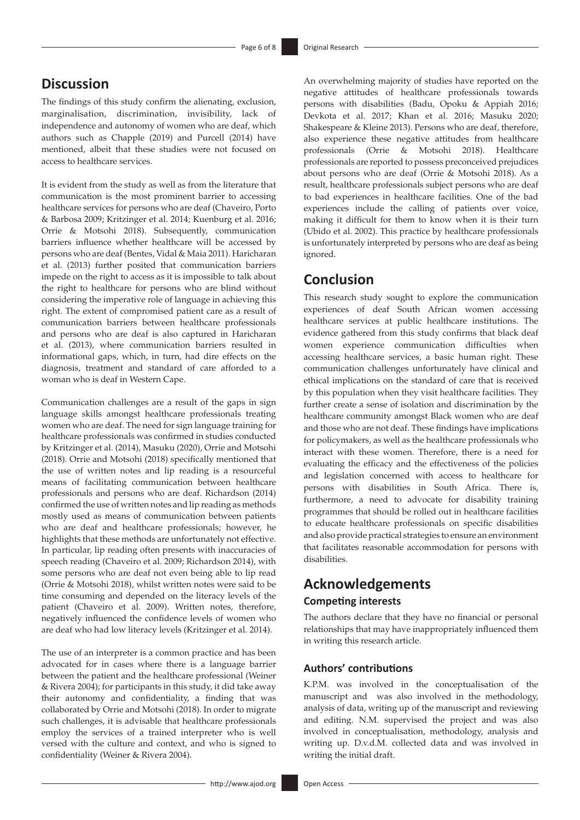# **Discussion**

The findings of this study confirm the alienating, exclusion, marginalisation, discrimination, invisibility, lack of independence and autonomy of women who are deaf, which authors such as Chapple (2019) and Purcell (2014) have mentioned, albeit that these studies were not focused on access to healthcare services.

It is evident from the study as well as from the literature that communication is the most prominent barrier to accessing healthcare services for persons who are deaf (Chaveiro, Porto & Barbosa 2009; Kritzinger et al. 2014; Kuenburg et al. 2016; Orrie & Motsohi 2018). Subsequently, communication barriers influence whether healthcare will be accessed by persons who are deaf (Bentes, Vidal & Maia 2011). Haricharan et al. (2013) further posited that communication barriers impede on the right to access as it is impossible to talk about the right to healthcare for persons who are blind without considering the imperative role of language in achieving this right. The extent of compromised patient care as a result of communication barriers between healthcare professionals and persons who are deaf is also captured in Haricharan et al. (2013), where communication barriers resulted in informational gaps, which, in turn, had dire effects on the diagnosis, treatment and standard of care afforded to a woman who is deaf in Western Cape.

Communication challenges are a result of the gaps in sign language skills amongst healthcare professionals treating women who are deaf. The need for sign language training for healthcare professionals was confirmed in studies conducted by Kritzinger et al. (2014), Masuku (2020), Orrie and Motsohi (2018). Orrie and Motsohi (2018) specifically mentioned that the use of written notes and lip reading is a resourceful means of facilitating communication between healthcare professionals and persons who are deaf. Richardson (2014) confirmed the use of written notes and lip reading as methods mostly used as means of communication between patients who are deaf and healthcare professionals; however, he highlights that these methods are unfortunately not effective. In particular, lip reading often presents with inaccuracies of speech reading (Chaveiro et al. 2009; Richardson 2014), with some persons who are deaf not even being able to lip read (Orrie & Motsohi 2018), whilst written notes were said to be time consuming and depended on the literacy levels of the patient (Chaveiro et al. 2009). Written notes, therefore, negatively influenced the confidence levels of women who are deaf who had low literacy levels (Kritzinger et al. 2014).

The use of an interpreter is a common practice and has been advocated for in cases where there is a language barrier between the patient and the healthcare professional (Weiner & Rivera 2004); for participants in this study, it did take away their autonomy and confidentiality, a finding that was collaborated by Orrie and Motsohi (2018). In order to migrate such challenges, it is advisable that healthcare professionals employ the services of a trained interpreter who is well versed with the culture and context, and who is signed to confidentiality (Weiner & Rivera 2004).

An overwhelming majority of studies have reported on the negative attitudes of healthcare professionals towards persons with disabilities (Badu, Opoku & Appiah 2016; Devkota et al. 2017; Khan et al. 2016; Masuku 2020; Shakespeare & Kleine 2013). Persons who are deaf, therefore, also experience these negative attitudes from healthcare professionals (Orrie & Motsohi 2018). Healthcare professionals are reported to possess preconceived prejudices about persons who are deaf (Orrie & Motsohi 2018). As a result, healthcare professionals subject persons who are deaf to bad experiences in healthcare facilities. One of the bad experiences include the calling of patients over voice, making it difficult for them to know when it is their turn (Ubido et al. 2002). This practice by healthcare professionals is unfortunately interpreted by persons who are deaf as being ignored.

# **Conclusion**

This research study sought to explore the communication experiences of deaf South African women accessing healthcare services at public healthcare institutions. The evidence gathered from this study confirms that black deaf women experience communication difficulties when accessing healthcare services, a basic human right. These communication challenges unfortunately have clinical and ethical implications on the standard of care that is received by this population when they visit healthcare facilities. They further create a sense of isolation and discrimination by the healthcare community amongst Black women who are deaf and those who are not deaf. These findings have implications for policymakers, as well as the healthcare professionals who interact with these women. Therefore, there is a need for evaluating the efficacy and the effectiveness of the policies and legislation concerned with access to healthcare for persons with disabilities in South Africa. There is, furthermore, a need to advocate for disability training programmes that should be rolled out in healthcare facilities to educate healthcare professionals on specific disabilities and also provide practical strategies to ensure an environment that facilitates reasonable accommodation for persons with disabilities.

# **Acknowledgements Competing interests**

The authors declare that they have no financial or personal relationships that may have inappropriately influenced them in writing this research article.

## **Authors' contributions**

K.P.M. was involved in the conceptualisation of the manuscript and was also involved in the methodology, analysis of data, writing up of the manuscript and reviewing and editing. N.M. supervised the project and was also involved in conceptualisation, methodology, analysis and writing up. D.v.d.M. collected data and was involved in writing the initial draft.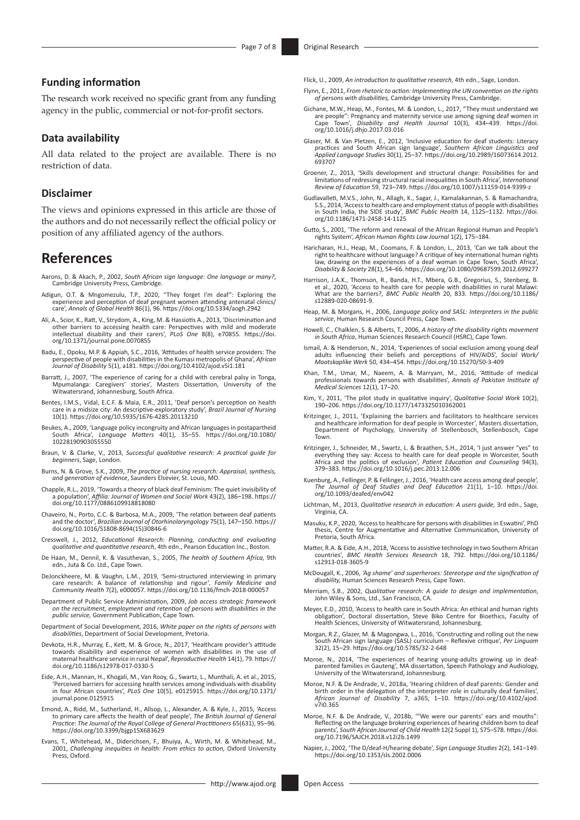## **Funding information**

The research work received no specific grant from any funding agency in the public, commercial or not-for-profit sectors.

### **Data availability**

All data related to the project are available. There is no restriction of data.

#### **Disclaimer**

The views and opinions expressed in this article are those of the authors and do not necessarily reflect the official policy or position of any affiliated agency of the authors.

## **References**

- Aarons, D. & Akach, P., 2002, *South African sign language: One language or many?*, Cambridge University Press, Cambridge.
- Adigun, O.T. & Mngomezulu, T.P., 2020, "They forget I'm deaf": Exploring the<br>|experience and perception of deaf pregnant women attending antenatal clinics<br>|care', Annals of Global Health 86(1), 96. https://doi.org/10.5334/
- Ali, A., Scior, K., Ratt, V., Strydom, A., King, M. & Hassiotis A., 2013, 'Discrimination and other barriers to accessing health care: Perspectives with mild and moderate intellectual disability and their carers', *PLoS One* 8(8), e70855. [https://doi.](https://doi.org/10.1371/journal.pone.0070855) [org/10.1371/journal.pone.0070855](https://doi.org/10.1371/journal.pone.0070855)
- Badu, E., Opoku, M.P. & Appiah, S.C., 2016, 'Attitudes of health service providers: The perspective of people with disabilities in the Kumasi metropolis of Ghana', *African Journal of Disability* 5(1), a181.<https://doi.org/10.4102/ajod.v5i1.181>
- Barratt, J., 2007, 'The experience of caring for a child with cerebral palsy in Tonga, Mpumalanga: Caregivers' stories', Masters Dissertation, University of the Witwatersrand, Johannesburg, South Africa.
- Bentes, I.M.S., Vidal, E.C.F. & Maia, E.R., 2011, 'Deaf person's perception on health care in a midsize city: An descriptive-exploratory study', *Brazil Journal of Nursing*  10(1).<https://doi.org/10.5935/1676-4285.20113210>
- Beukes, A., 2009, 'Language policy incongruity and African languages in postapartheid South Africa', *Language Matters* 40(1), 35–55. [https://doi.org/10.1080/](https://doi.org/10.1080/10228190903055550) [10228190903055550](https://doi.org/10.1080/10228190903055550)
- Braun, V. & Clarke, V., 2013, *Successful qualitative research: A practical guide for beginners*, Sage, London.
- Burns, N. & Grove, S.K., 2009, *The practice of nursing research: Appraisal, synthesis, and generation of evidence*, Saunders Elsevier, St. Louis, MO.
- Chapple, R.L., 2019, 'Towards a theory of black deaf Feminism: The quiet invisibility of a population', *Affilia: Journal of Women and Social Work* 43(2), 186–198. [https://](https://doi.org/10.1177/0886109918818080) [doi.org/10.1177/0886109918818080](https://doi.org/10.1177/0886109918818080)
- Chaveiro, N., Porto, C.C. & Barbosa, M.A., 2009, 'The relation between deaf patients and the doctor', *Brazilian Journal of Otorhinolaryngology* 75(1), 147–150. [https://](https://doi.org/10.1016/S1808-8694(15)30846-6) [doi.org/10.1016/S1808-8694\(15\)30846-6](https://doi.org/10.1016/S1808-8694(15)30846-6)
- Cresswell, J., 2012, *Educational Research: Planning, conducting and evaluating qualitative and quantitative research*, 4th edn., Pearson Education Inc., Boston.
- De Haan, M., Dennil, K. & Vasuthevan, S., 2005, *The health of Southern Africa,* 9th edn., Juta & Co. Ltd., Cape Town.
- DeJonckheere, M. & Vaughn, L.M., 2019, 'Semi-structured interviewing in primary care research: A balance of relationship and rigour', *Family Medicine and Community Health* 7(2), e000057.<https://doi.org/10.1136/fmch-2018-000057>
- Department of Public Service Administration, 2009, *Job access strategic framework on the recruitment, employment and retention of persons with disabilities in the public service,* Government Publication, Cape Town.
- Department of Social Development, 2016, *White paper on the rights of persons with disabilities*, Department of Social Development, Pretoria.
- Devkota, H.R., Murray, E., Kett, M. & Groce, N., 2017, 'Healthcare provider's attitude towards disability and experience of women with disabilities in the use of maternal healthcare service in rural Nepal', *Reproductive Health* 14(1), 79. [https://](https://doi.org/10.1186/s12978-017-0330-5) [doi.org/10.1186/s12978-017-0330-5](https://doi.org/10.1186/s12978-017-0330-5)
- Eide, A.H., Mannan, H., Khogali, M., Van Rooy, G., Swartz, L., Munthali, A. et al., 2015, 'Perceived barriers for accessing health services among individuals with disability in four African countries', *PLoS One* 10(5), e0125915. [https://doi.org/10.1371/](https://doi.org/10.1371/journal.pone.0125915) [journal.pone.0125915](https://doi.org/10.1371/journal.pone.0125915)
- Emond, A., Ridd, M., Sutherland, H., Allsop, L., Alexander, A. & Kyle, J., 2015, 'Access to primary care affects the health of deaf people', *The British Journal of General Practice: The Journal of the Royal College of General Practitioners* 65(631), 95–96. <https://doi.org/10.3399/bjgp15X683629>
- Evans, T., Whitehead, M., Diderichsen, F., Bhuiya, A., Wirth, M. & Whitehead, M., 2001, *Challenging inequities in health: From ethics to action,* Oxford University Press, Oxford.

Flick, U., 2009, *An introduction to qualitative research,* 4th edn., Sage, London.

- Flynn, E., 2011, *From rhetoric to action: Implementing the UN convention on the rights of persons with disabilities,* Cambridge University Press, Cambridge.
- Gichane, M.W., Heap, M., Fontes, M. & London, L., 2017, "They must understand we are people": Pregnancy and maternity service use among signing deaf women in Cape Town', *Disability and Health Journal* 10(3), 434–439. [https://doi.](https://doi.org/10.1016/j.dhjo.2017.03.016) [org/10.1016/j.dhjo.2017.03.016](https://doi.org/10.1016/j.dhjo.2017.03.016)
- Glaser, M. & Van Pletzen, E., 2012, 'Inclusive education for deaf students: Literacy<br>practices and South African sign language', Southern African Linguistics and<br>Applied Language Studies 30(1), 25–37. https://doi.org/10.29 [693707](https://doi.org/10.2989/16073614.2012.693707)
- Groener, Z., 2013, 'Skills development and structural change: Possibilities for and limitations of redressing structural racial inequalities in South Africa', *International Review of Education* 59, 723–749.<https://doi.org/10.1007/s11159-014-9399-z>
- Gudlavalleti, M.V.S., John, N., Allagh, K., Sagar, J., Kamalakannan, S. & Ramachandra, S.S., 2014, 'Access to health care and employment status of people with disabilities in South India, the SIDE study', *BMC Public Health* 14, 1125–1132. [https://doi.](https://doi.org/10.1186/1471-2458-14-1125) [org/10.1186/1471-2458-14-1125](https://doi.org/10.1186/1471-2458-14-1125)
- Gutto, S., 2001, 'The reform and renewal of the African Regional Human and People's rights System', *African Human Rights Law Journal* 1(2), 175–184.
- Haricharan, H.J., Heap, M., Coomans, F. & London, L., 2013, 'Can we talk about the right to healthcare without language? A critique of key international human rights law, drawing on the experiences of a deaf woman in Cape Town, South Africa *Disability & Society* 28(1), 54–66.<https://doi.org/10.1080/09687599.2012.699277>
- Harrison, J.A.K., Thomson, R., Banda, H.T., Mbera, G.B., Gregorius, S., Stenberg, B. et al., 2020, 'Access to health care for people with disabilities in rural Malawi: What are the barriers?, *BMC Public Health* 20, 833. [https://doi.org/10.1186/](https://doi.org/10.1186/s12889-020-08691-9) [s12889-020-08691-9.](https://doi.org/10.1186/s12889-020-08691-9)
- Heap, M. & Morgans, H., 2006, *Language policy and SASL: Interpreters in the public service*, Human Research Council Press, Cape Town.
- Howell, C., Chalklen, S. & Alberts, T., 2006, *A history of the disability rights movement in South Africa*, Human Sciences Research Council (HSRC), Cape Town.
- Ismail, A. & Henderson, N., 2014, 'Experiences of social exclusion among young deaf adults influencing their beliefs and perceptions of HIV/AIDS', *Social Work/ Maatskaplike Werk* 50, 434–454. <https://doi.org/10.15270/50-3-409>
- Khan, T.M., Umar, M., Naeem, A. & Marryam, M., 2016, 'Attitude of medical professionals towards persons with disabilities', *Annals of Pakistan Institute of Medical Sciences* 12(1), 17–20.
- Kim, Y., 2011, 'The pilot study in qualitative inquiry', *Qualitative Social Work* 10(2), 190–206.<https://doi.org/10.1177/1473325010362001>
- Kritzinger, J., 2011, 'Explaining the barriers and facilitators to healthcare services and healthcare information for deaf people in Worcester', Masters dissertation, Department of Psychology, University of Stellenbosch, Stellenbosch, Cape Town.
- Kritzinger, J., Schneider, M., Swartz, L. & Braathen, S.H., 2014, 'I just answer "yes" to everything they say: Access to health care for deaf people in Worcester, South Africa and the politics of exclusion', *Patient Education and Counseling* 94(3), 379–383.<https://doi.org/10.1016/j.pec.2013.12.006>
- Kuenburg, A., Fellinger, P. & Fellinger, J., 2016, 'Health care access among deaf people', *The Journal of Deaf Studies and Deaf Education* 21(1), 1–10. [https://doi.](https://doi.org/10.1093/deafed/env042) [org/10.1093/deafed/env042](https://doi.org/10.1093/deafed/env042)
- Lichtman, M., 2013, *Qualitative research in education: A users guide,* 3rd edn., Sage, Virginia, CA.
- Masuku, K.P., 2020, 'Access to healthcare for persons with disabilities in Eswatini', PhD thesis, Centre for Augmentative and Alternative Communication, University of Pretoria, South Africa.
- Matter, R.A. & Eide, A.H., 2018, 'Access to assistive technology in two Southern African countries', *BMC Health Services Research* 18, 792. [https://doi.org/10.1186/](https://doi.org/10.1186/s12913-018-3605-9) [s12913-018-3605-9](https://doi.org/10.1186/s12913-018-3605-9)
- McDougall, K., 2006, *'Ag shame' and superheroes: Stereotype and the signification of disability,* Human Sciences Research Press, Cape Town.
- Merriam, S.B., 2002, *Qualitative research: A guide to design and implementation*, John Wiley & Sons, Ltd., San Francisco, CA.
- Meyer, E.D., 2010, 'Access to health care in South Africa: An ethical and human rights obligation', Doctoral dissertation, Steve Biko Centre for Bioethics, Faculty of Health Sciences, University of Witwatersrand, Johannesburg.
- Morgan, R.Z., Glazer, M. & Magongwa, L., 2016, 'Constructing and rolling out the new South African sign language (SASL) curriculum Reflexive critique', *Per Linguam*  32(2), 15–29.<https://doi.org/10.5785/32-2-648>
- Moroe, N., 2014, 'The experiences of hearing young-adults growing up in deafparented families in Gauteng', MA dissertation, Speech Pathology and Audiology, University of the Witwatersrand, Johannesburg.
- Moroe, N.F. & De Andrade, V., 2018a, 'Hearing children of deaf parents: Gender and birth order in the delegation of the interpreter role in culturally deaf families', *African Journal of Disability* 7, a365, 1–10. [https://doi.org/10.4102/ajod.](https://doi.org/10.4102/ajod.v7i0.365) [v7i0.365](https://doi.org/10.4102/ajod.v7i0.365)
- Moroe, N.F. & De Andrade, V., 2018b, '"We were our parents' ears and mouths": Reflecting on the language brokering experiences of hearing children born to deaf parents', *South African Journal of Child Health* 12(2 Suppl 1), S75–S78. [https://doi.](https://doi.org/10.7196/SAJCH.2018.v12i2b.1499) [org/10.7196/SAJCH.2018.v12i2b.1499](https://doi.org/10.7196/SAJCH.2018.v12i2b.1499)
- Napier, J., 2002, 'The D/deaf-H/hearing debate', *Sign Language Studies* 2(2), 141–149. <https://doi.org/10.1353/sls.2002.0006>